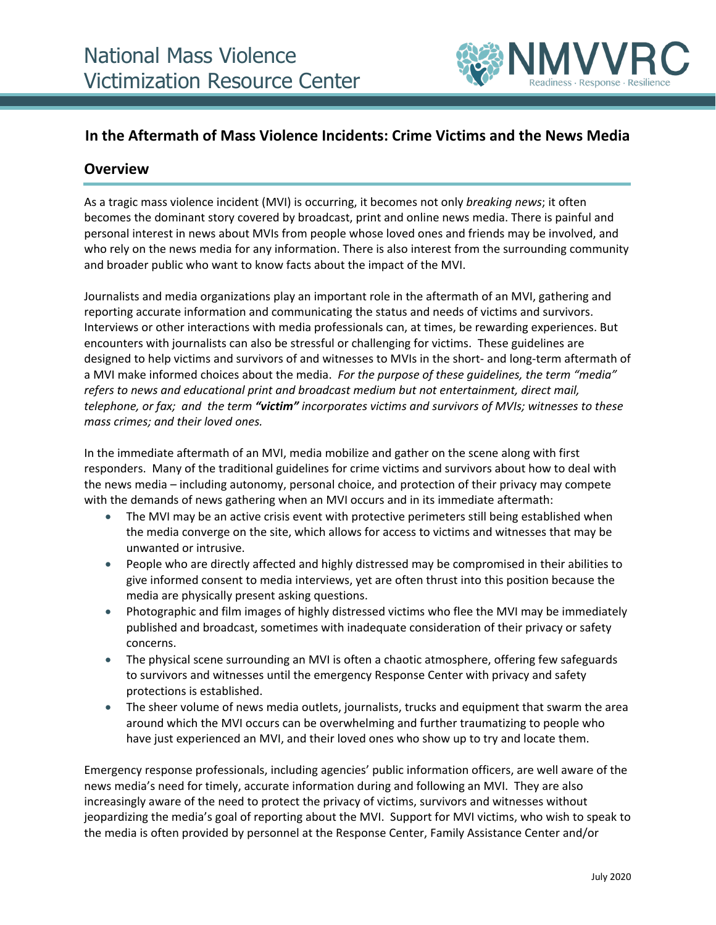

## **In the Aftermath of Mass Violence Incidents: Crime Victims and the News Media**

## **Overview**

As a tragic mass violence incident (MVI) is occurring, it becomes not only *breaking news*; it often becomes the dominant story covered by broadcast, print and online news media. There is painful and personal interest in news about MVIs from people whose loved ones and friends may be involved, and who rely on the news media for any information. There is also interest from the surrounding community and broader public who want to know facts about the impact of the MVI.

Journalists and media organizations play an important role in the aftermath of an MVI, gathering and reporting accurate information and communicating the status and needs of victims and survivors. Interviews or other interactions with media professionals can, at times, be rewarding experiences. But encounters with journalists can also be stressful or challenging for victims. These guidelines are designed to help victims and survivors of and witnesses to MVIs in the short- and long-term aftermath of a MVI make informed choices about the media. *For the purpose of these guidelines, the term "media" refers to news and educational print and broadcast medium but not entertainment, direct mail, telephone, or fax; and the term "victim" incorporates victims and survivors of MVIs; witnesses to these mass crimes; and their loved ones.* 

In the immediate aftermath of an MVI, media mobilize and gather on the scene along with first responders. Many of the traditional guidelines for crime victims and survivors about how to deal with the news media – including autonomy, personal choice, and protection of their privacy may compete with the demands of news gathering when an MVI occurs and in its immediate aftermath:

- The MVI may be an active crisis event with protective perimeters still being established when the media converge on the site, which allows for access to victims and witnesses that may be unwanted or intrusive.
- People who are directly affected and highly distressed may be compromised in their abilities to give informed consent to media interviews, yet are often thrust into this position because the media are physically present asking questions.
- Photographic and film images of highly distressed victims who flee the MVI may be immediately published and broadcast, sometimes with inadequate consideration of their privacy or safety concerns.
- The physical scene surrounding an MVI is often a chaotic atmosphere, offering few safeguards to survivors and witnesses until the emergency Response Center with privacy and safety protections is established.
- The sheer volume of news media outlets, journalists, trucks and equipment that swarm the area around which the MVI occurs can be overwhelming and further traumatizing to people who have just experienced an MVI, and their loved ones who show up to try and locate them.

Emergency response professionals, including agencies' public information officers, are well aware of the news media's need for timely, accurate information during and following an MVI. They are also increasingly aware of the need to protect the privacy of victims, survivors and witnesses without jeopardizing the media's goal of reporting about the MVI. Support for MVI victims, who wish to speak to the media is often provided by personnel at the Response Center, Family Assistance Center and/or